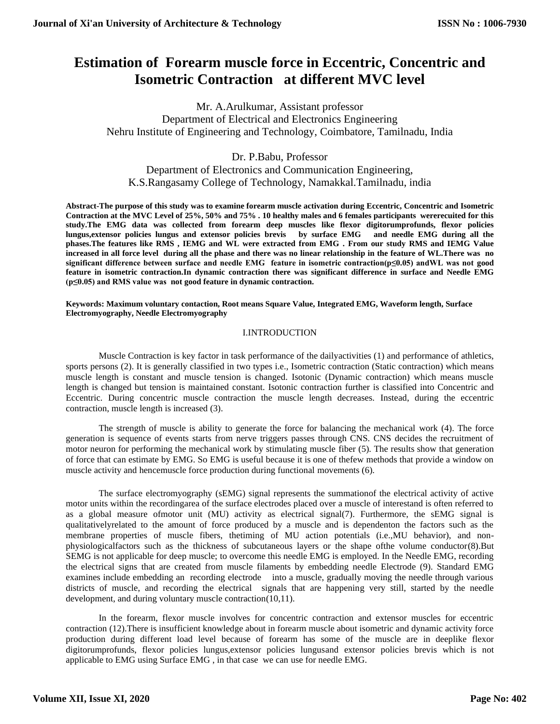# **Estimation of Forearm muscle force in Eccentric, Concentric and Isometric Contraction at different MVC level**

Mr. A.Arulkumar, Assistant professor Department of Electrical and Electronics Engineering Nehru Institute of Engineering and Technology, Coimbatore, Tamilnadu, India

Dr. P.Babu, Professor

Department of Electronics and Communication Engineering, K.S.Rangasamy College of Technology, Namakkal.Tamilnadu, india

**Abstract-The purpose of this study was to examine forearm muscle activation during Eccentric, Concentric and Isometric Contraction at the MVC Level of 25%, 50% and 75% . 10 healthy males and 6 females participants wererecuited for this study.The EMG data was collected from forearm deep muscles like flexor digitorumprofunds, flexor policies lungus,extensor policies lungus and extensor policies brevis by surface EMG and needle EMG during all the phases.The features like RMS , IEMG and WL were extracted from EMG . From our study RMS and IEMG Value increased in all force level during all the phase and there was no linear relationship in the feature of WL.There was no significant difference between surface and needle EMG feature in isometric contraction(p≤0.05) andWL was not good feature in isometric contraction.In dynamic contraction there was significant difference in surface and Needle EMG (p≤0.05) and RMS value was not good feature in dynamic contraction.**

**Keywords: Maximum voluntary contaction, Root means Square Value, Integrated EMG, Waveform length, Surface Electromyography, Needle Electromyography**

#### I.INTRODUCTION

Muscle Contraction is key factor in task performance of the dailyactivities (1) and performance of athletics, sports persons (2). It is generally classified in two types i.e., Isometric contraction (Static contraction) which means muscle length is constant and muscle tension is changed. Isotonic (Dynamic contraction) which means muscle length is changed but tension is maintained constant. Isotonic contraction further is classified into Concentric and Eccentric. During concentric muscle contraction the muscle length decreases. Instead, during the eccentric contraction, muscle length is increased (3).

The strength of muscle is ability to generate the force for balancing the mechanical work (4). The force generation is sequence of events starts from nerve triggers passes through CNS. CNS decides the recruitment of motor neuron for performing the mechanical work by stimulating muscle fiber (5). The results show that generation of force that can estimate by EMG. So EMG is useful because it is one of thefew methods that provide a window on muscle activity and hencemuscle force production during functional movements (6).

The surface electromyography (sEMG) signal represents the summationof the electrical activity of active motor units within the recordingarea of the surface electrodes placed over a muscle of interestand is often referred to as a global measure ofmotor unit (MU) activity as electrical signal(7). Furthermore, the sEMG signal is qualitativelyrelated to the amount of force produced by a muscle and is dependenton the factors such as the membrane properties of muscle fibers, thetiming of MU action potentials (i.e.,MU behavior), and nonphysiologicalfactors such as the thickness of subcutaneous layers or the shape ofthe volume conductor(8).But SEMG is not applicable for deep muscle; to overcome this needle EMG is employed. In the Needle EMG, recording the electrical signs that are created from muscle filaments by embedding needle Electrode (9). Standard EMG examines include embedding an recording electrode into a muscle, gradually moving the needle through various districts of muscle, and recording the electrical signals that are happening very still, started by the needle development, and during voluntary muscle contraction(10,11).

In the forearm, flexor muscle involves for concentric contraction and extensor muscles for eccentric contraction (12).There is insufficient knowledge about in forearm muscle about isometric and dynamic activity force production during different load level because of forearm has some of the muscle are in deeplike flexor digitorumprofunds, flexor policies lungus,extensor policies lungusand extensor policies brevis which is not applicable to EMG using Surface EMG , in that case we can use for needle EMG.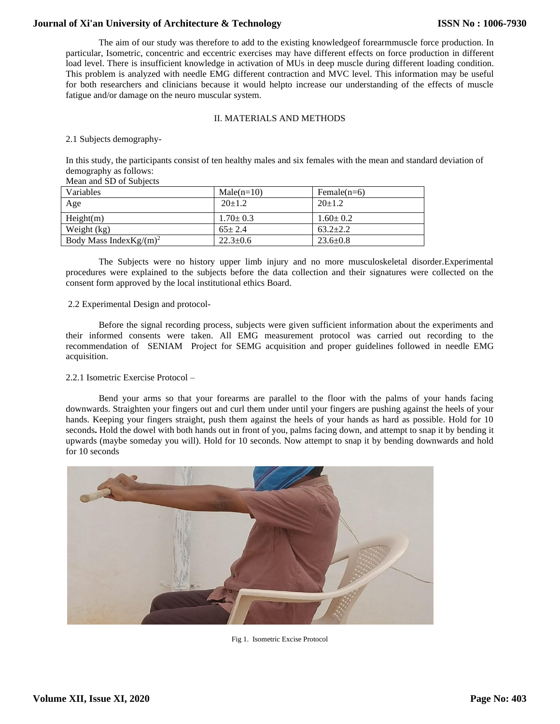The aim of our study was therefore to add to the existing knowledgeof forearmmuscle force production. In particular, Isometric, concentric and eccentric exercises may have different effects on force production in different load level. There is insufficient knowledge in activation of MUs in deep muscle during different loading condition. This problem is analyzed with needle EMG different contraction and MVC level. This information may be useful for both researchers and clinicians because it would helpto increase our understanding of the effects of muscle fatigue and/or damage on the neuro muscular system.

## II. MATERIALS AND METHODS

#### 2.1 Subjects demography-

In this study, the participants consist of ten healthy males and six females with the mean and standard deviation of demography as follows:

## Mean and SD of Subjects

| Variables                   | $Male(n=10)$   | Female $(n=6)$ |
|-----------------------------|----------------|----------------|
| Age                         | $20+1.2$       | $20+1.2$       |
| Height(m)                   | $1.70 \pm 0.3$ | $1.60 \pm 0.2$ |
| Weight (kg)                 | $65 \pm 2.4$   | $63.2 + 2.2$   |
| Body Mass Index Kg/ $(m)^2$ | $22.3 \pm 0.6$ | $23.6 \pm 0.8$ |

The Subjects were no history upper limb injury and no more musculoskeletal disorder.Experimental procedures were explained to the subjects before the data collection and their signatures were collected on the consent form approved by the local institutional ethics Board.

#### 2.2 Experimental Design and protocol-

Before the signal recording process, subjects were given sufficient information about the experiments and their informed consents were taken. All EMG measurement protocol was carried out recording to the recommendation of SENIAM Project for SEMG acquisition and proper guidelines followed in needle EMG acquisition.

#### 2.2.1 Isometric Exercise Protocol –

Bend your arms so that your forearms are parallel to the floor with the palms of your hands facing downwards. Straighten your fingers out and curl them under until your fingers are pushing against the heels of your hands. Keeping your fingers straight, push them against the heels of your hands as hard as possible. Hold for 10 seconds**.** Hold the dowel with both hands out in front of you, palms facing down, and attempt to snap it by bending it upwards (maybe someday you will). Hold for 10 seconds. Now attempt to snap it by bending downwards and hold for 10 seconds



Fig 1. Isometric Excise Protocol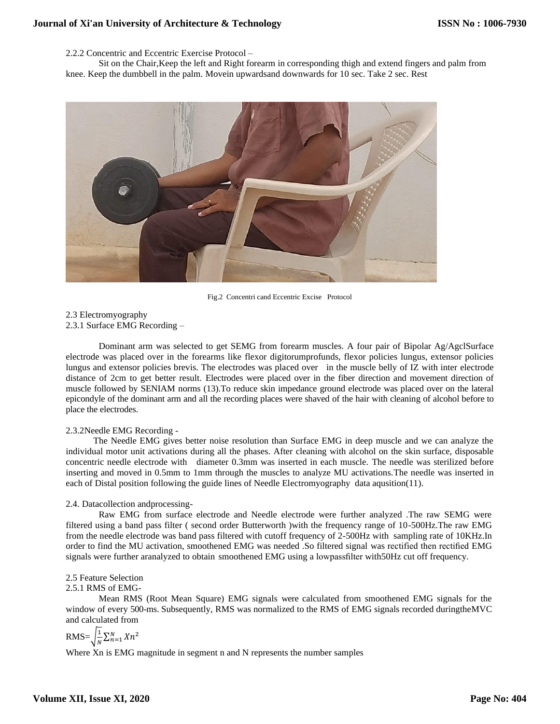2.2.2 Concentric and Eccentric Exercise Protocol –

Sit on the Chair,Keep the left and Right forearm in corresponding thigh and extend fingers and palm from knee. Keep the dumbbell in the palm. Movein upwardsand downwards for 10 sec. Take 2 sec. Rest



Fig.2 Concentri cand Eccentric Excise Protocol

2.3 Electromyography 2.3.1 Surface EMG Recording –

Dominant arm was selected to get SEMG from forearm muscles. A four pair of Bipolar Ag/AgclSurface electrode was placed over in the forearms like flexor digitorumprofunds, flexor policies lungus, extensor policies lungus and extensor policies brevis. The electrodes was placed over in the muscle belly of IZ with inter electrode distance of 2cm to get better result. Electrodes were placed over in the fiber direction and movement direction of muscle followed by SENIAM norms (13).To reduce skin impedance ground electrode was placed over on the lateral epicondyle of the dominant arm and all the recording places were shaved of the hair with cleaning of alcohol before to place the electrodes.

## 2.3.2Needle EMG Recording -

 The Needle EMG gives better noise resolution than Surface EMG in deep muscle and we can analyze the individual motor unit activations during all the phases. After cleaning with alcohol on the skin surface, disposable concentric needle electrode with diameter 0.3mm was inserted in each muscle. The needle was sterilized before inserting and moved in 0.5mm to 1mm through the muscles to analyze MU activations.The needle was inserted in each of Distal position following the guide lines of Needle Electromyography data aqusition(11).

#### 2.4. Datacollection andprocessing-

Raw EMG from surface electrode and Needle electrode were further analyzed .The raw SEMG were filtered using a band pass filter ( second order Butterworth )with the frequency range of 10-500Hz.The raw EMG from the needle electrode was band pass filtered with cutoff frequency of 2-500Hz with sampling rate of 10KHz.In order to find the MU activation, smoothened EMG was needed .So filtered signal was rectified then rectified EMG signals were further aranalyzed to obtain smoothened EMG using a lowpassfilter with50Hz cut off frequency.

#### 2.5 Feature Selection

## 2.5.1 RMS of EMG-

Mean RMS (Root Mean Square) EMG signals were calculated from smoothened EMG signals for the window of every 500-ms. Subsequently, RMS was normalized to the RMS of EMG signals recorded duringtheMVC and calculated from

 $RMS = \frac{1}{N}$  $\frac{1}{N}\sum_{n=1}^{N} Xn^2$ 

Where Xn is EMG magnitude in segment n and N represents the number samples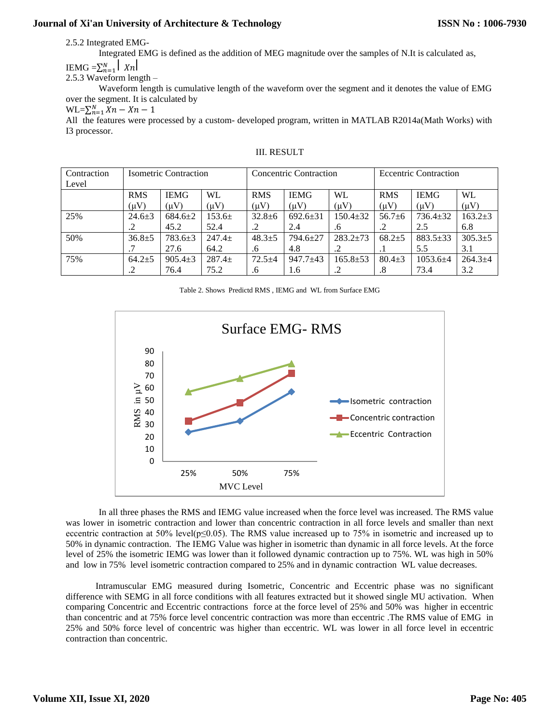2.5.2 Integrated EMG-

Integrated EMG is defined as the addition of MEG magnitude over the samples of N.It is calculated as,

 $\text{IEMG} = \sum_{n=1}^{N} |X_n|$ 

2.5.3 Waveform length –

Waveform length is cumulative length of the waveform over the segment and it denotes the value of EMG over the segment. It is calculated by

 $\text{WL}=\sum_{n=1}^{N} X_n - X_n - 1$ 

All the features were processed by a custom- developed program, written in MATLAB R2014a(Math Works) with I3 processor.

| Contraction | <b>Isometric Contraction</b> |               |            | <b>Concentric Contraction</b> |              |                | <b>Eccentric Contraction</b> |              |             |
|-------------|------------------------------|---------------|------------|-------------------------------|--------------|----------------|------------------------------|--------------|-------------|
| Level       |                              |               |            |                               |              |                |                              |              |             |
|             | <b>RMS</b>                   | <b>IEMG</b>   | WL.        | <b>RMS</b>                    | <b>IEMG</b>  | WL.            | <b>RMS</b>                   | <b>IEMG</b>  | <b>WL</b>   |
|             | $(\mu V)$                    | $(\mu V)$     | $(\mu V)$  | $(\mu V)$                     | $(\mu V)$    | $(\mu V)$      | $(\mu V)$                    | $(\mu V)$    | $(\mu V)$   |
| 25%         | $24.6 + 3$                   | $684.6 \pm 2$ | $153.6\pm$ | $32.8 + 6$                    | $692.6 + 31$ | $150.4 + 32$   | $56.7 + 6$                   | $736.4+32$   | $163.2+3$   |
|             |                              | 45.2          | 52.4       | .2                            | 2.4          | .6             |                              | 2.5          | 6.8         |
| 50%         | $36.8 \pm 5$                 | $783.6 \pm 3$ | $247.4+$   | $48.3+5$                      | $794.6 + 27$ | $283.2 \pm 73$ | $68.2 + 5$                   | $883.5+33$   | $305.3+5$   |
|             |                              | 27.6          | 64.2       | .6                            | 4.8          |                | . I                          | 5.5          | 3.1         |
| 75%         | $64.2 \pm 5$                 | $905.4 \pm 3$ | $287.4+$   | $72.5 + 4$                    | $947.7 + 43$ | $165.8 \pm 53$ | $80.4 + 3$                   | $1053.6 + 4$ | $264.3 + 4$ |
|             | .2                           | 76.4          | 75.2       | .6                            | 1.6          |                | $.8\,$                       | 73.4         | 3.2         |

#### III. RESULT

Table 2. Shows Predictd RMS , IEMG and WL from Surface EMG



In all three phases the RMS and IEMG value increased when the force level was increased. The RMS value was lower in isometric contraction and lower than concentric contraction in all force levels and smaller than next eccentric contraction at 50% level( $p \le 0.05$ ). The RMS value increased up to 75% in isometric and increased up to 50% in dynamic contraction. The IEMG Value was higher in isometric than dynamic in all force levels. At the force level of 25% the isometric IEMG was lower than it followed dynamic contraction up to 75%. WL was high in 50% and low in 75% level isometric contraction compared to 25% and in dynamic contraction WL value decreases.

 Intramuscular EMG measured during Isometric, Concentric and Eccentric phase was no significant difference with SEMG in all force conditions with all features extracted but it showed single MU activation. When comparing Concentric and Eccentric contractions force at the force level of 25% and 50% was higher in eccentric than concentric and at 75% force level concentric contraction was more than eccentric .The RMS value of EMG in 25% and 50% force level of concentric was higher than eccentric. WL was lower in all force level in eccentric contraction than concentric.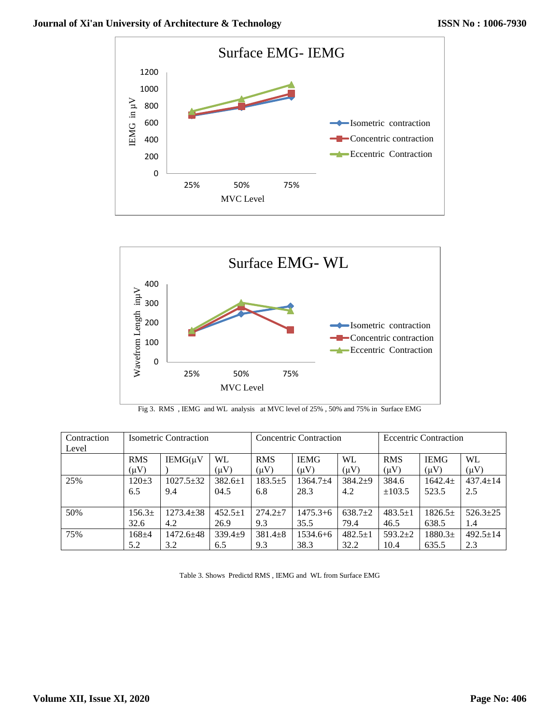





| Contraction<br>Level | <b>Isometric Contraction</b> |                 |               | <b>Concentric Contraction</b> |              |               | <b>Eccentric Contraction</b> |             |                |
|----------------------|------------------------------|-----------------|---------------|-------------------------------|--------------|---------------|------------------------------|-------------|----------------|
|                      |                              |                 |               |                               |              |               |                              |             |                |
|                      | <b>RMS</b>                   | $IEMG(\mu V)$   | <b>WL</b>     | <b>RMS</b>                    | <b>IEMG</b>  | <b>WL</b>     | <b>RMS</b>                   | <b>IEMG</b> | WL             |
|                      | $(\mu V)$                    |                 | $(\mu V)$     | $(\mu V)$                     | $(\mu V)$    | $(\mu V)$     | $(\mu V)$                    | $(\mu V)$   | $(\mu V)$      |
| 25%                  | $120 \pm 3$                  | $1027.5 \pm 32$ | $382.6 \pm 1$ | $183.5+5$                     | $1364.7 + 4$ | $384.2 + 9$   | 384.6                        | $1642.4+$   | $437.4 \pm 14$ |
|                      | 6.5                          | 9.4             | 04.5          | 6.8                           | 28.3         | 4.2           | ±103.5                       | 523.5       | 2.5            |
|                      |                              |                 |               |                               |              |               |                              |             |                |
| 50%                  | 156.3 <sup>±</sup>           | $1273.4 \pm 38$ | $452.5 \pm 1$ | $274.2 \pm 7$                 | $1475.3 + 6$ | $638.7+2$     | $483.5 \pm 1$                | $1826.5+$   | $526.3+25$     |
|                      | 32.6                         | 4.2             | 26.9          | 9.3                           | 35.5         | 79.4          | 46.5                         | 638.5       | 1.4            |
| 75%                  | $168 + 4$                    | $1472.6 + 48$   | $339.4+9$     | $381.4 \pm 8$                 | $1534.6 + 6$ | $482.5 \pm 1$ | $593.2 \pm 2$                | $1880.3+$   | $492.5 \pm 14$ |
|                      | 5.2                          | 3.2             | 6.5           | 9.3                           | 38.3         | 32.2          | 10.4                         | 635.5       | 2.3            |

Table 3. Shows Predictd RMS , IEMG and WL from Surface EMG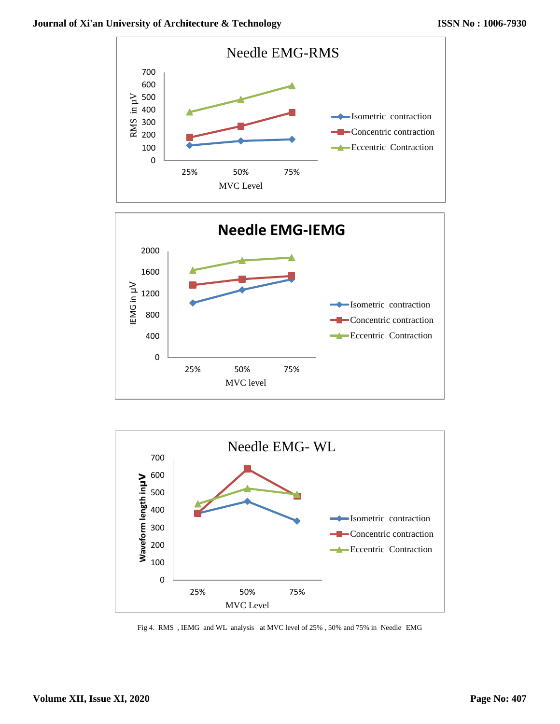





Fig 4. RMS , IEMG and WL analysis at MVC level of 25% , 50% and 75% in Needle EMG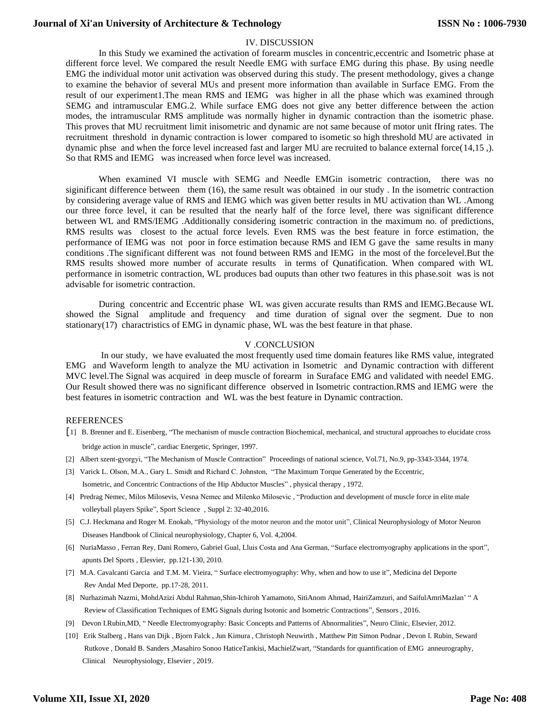#### IV. DISCUSSION

In this Study we examined the activation of forearm muscles in concentric,eccentric and Isometric phase at different force level. We compared the result Needle EMG with surface EMG during this phase. By using needle EMG the individual motor unit activation was observed during this study. The present methodology, gives a change to examine the behavior of several MUs and present more information than available in Surface EMG. From the result of our experiment1.The mean RMS and IEMG was higher in all the phase which was examined through SEMG and intramuscular EMG.2. While surface EMG does not give any better difference between the action modes, the intramuscular RMS amplitude was normally higher in dynamic contraction than the isometric phase. This proves that MU recruitment limit inisometric and dynamic are not same because of motor unit fIring rates. The recruitment threshold in dynamic contraction is lower compared to isometic so high threshold MU are activated in dynamic phse and when the force level increased fast and larger MU are recruited to balance external force(14,15 ,). So that RMS and IEMG was increased when force level was increased.

When examined VI muscle with SEMG and Needle EMGin isometric contraction, there was no siginificant difference between them (16), the same result was obtained in our study . In the isometric contraction by considering average value of RMS and IEMG which was given better results in MU activation than WL .Among our three force level, it can be resulted that the nearly half of the force level, there was significant difference between WL and RMS/IEMG .Additionally considering isometric contraction in the maximum no. of predictions, RMS results was closest to the actual force levels. Even RMS was the best feature in force estimation, the performance of IEMG was not poor in force estimation because RMS and IEM G gave the same results in many conditions .The significant different was not found between RMS and IEMG in the most of the forcelevel.But the RMS results showed more number of accurate results in terms of Qunatification. When compared with WL performance in isometric contraction, WL produces bad ouputs than other two features in this phase.soit was is not advisable for isometric contraction.

During concentric and Eccentric phase WL was given accurate results than RMS and IEMG.Because WL showed the Signal amplitude and frequency and time duration of signal over the segment. Due to non stationary(17) charactristics of EMG in dynamic phase, WL was the best feature in that phase.

#### V .CONCLUSION

In our study, we have evaluated the most frequently used time domain features like RMS value, integrated EMG and Waveform length to analyze the MU activation in Isometric and Dynamic contraction with different MVC level.The Signal was acquired in deep muscle of forearm in Suraface EMG and validated with needel EMG. Our Result showed there was no significant difference observed in Isometric contraction.RMS and IEMG were the best features in isometric contraction and WL was the best feature in Dynamic contraction.

#### REFERENCES

- [1] B. Brenner and E. Eisenberg, "The mechanism of muscle contraction Biochemical, mechanical, and structural approaches to elucidate cross bridge action in muscle", cardiac Energetic, Springer, 1997.
- [2] Albert szent-gyorgyi, "The Mechanism of Muscle Contraction" Proceedings of national science, Vol.71, No.9, pp-3343-3344, 1974.
- [3] Varick L. Olson, M.A., Gary L. Smidt and Richard C. Johnston, "The Maximum Torque Generated by the Eccentric, Isometric, and Concentric Contractions of the Hip Abductor Muscles" , physical therapy , 1972.
- [4] Predrag Nemec, Milos Milosevis, Vesna Nemec and Milenko Milosevic , "Production and development of muscle force in elite male volleyball players Spike", Sport Science , Suppl 2: 32-40,2016.
- [5] C.J. Heckmana and Roger M. Enokab, "Physiology of the motor neuron and the motor unit", Clinical Neurophysiology of Motor Neuron Diseases Handbook of Clinical neurophysiology, Chapter 6, Vol. 4,2004.
- [6] NuriaMasso , Ferran Rey, Dani Romero, Gabriel Gual, Lluis Costa and Ana German, "Surface electromyography applications in the sport", apunts Del Sports , Elesvier, pp.121-130, 2010.
- [7] M.A. Cavalcanti Garcia and T.M. M. Vieira, " Surface electromyography: Why, when and how to use it", Medicina del Deporte Rev Andal Med Deporte, pp.17-28, 2011.
- [8] [Nurhazimah](https://www.ncbi.nlm.nih.gov/pubmed/?term=Nazmi%20N%5BAuthor%5D&cauthor=true&cauthor_uid=27548165) Nazmi, [MohdAzizi Abdul Rahman,](https://www.ncbi.nlm.nih.gov/pubmed/?term=Abdul%20Rahman%20MA%5BAuthor%5D&cauthor=true&cauthor_uid=27548165)[Shin-Ichiroh Yamamoto,](https://www.ncbi.nlm.nih.gov/pubmed/?term=Yamamoto%20SI%5BAuthor%5D&cauthor=true&cauthor_uid=27548165) [SitiAnom Ahmad,](https://www.ncbi.nlm.nih.gov/pubmed/?term=Ahmad%20SA%5BAuthor%5D&cauthor=true&cauthor_uid=27548165) [HairiZamzuri,](https://www.ncbi.nlm.nih.gov/pubmed/?term=Zamzuri%20H%5BAuthor%5D&cauthor=true&cauthor_uid=27548165) and [SaifulAmriMazlan'](https://www.ncbi.nlm.nih.gov/pubmed/?term=Mazlan%20SA%5BAuthor%5D&cauthor=true&cauthor_uid=27548165) " A Review of Classification Techniques of EMG Signals during Isotonic and Isometric Contractions", Sensors , 2016.
- [9] Devon I.Rubin,MD, " Needle Electromyography: Basic Concepts and Patterns of Abnormalities", Neuro Clinic, Elsevier, 2012.
- [10] Erik Stalberg , Hans van Dijk , Bjorn Falck , Jun Kimura , Christoph Neuwirth , Matthew Pitt Simon Podnar , Devon I. Rubin, Seward Rutkove , Donald B. Sanders ,Masahiro Sonoo HaticeTankisi, MachielZwart, "Standards for quantification of EMG anneurography, Clinical Neurophysiology, Elsevier , 2019.